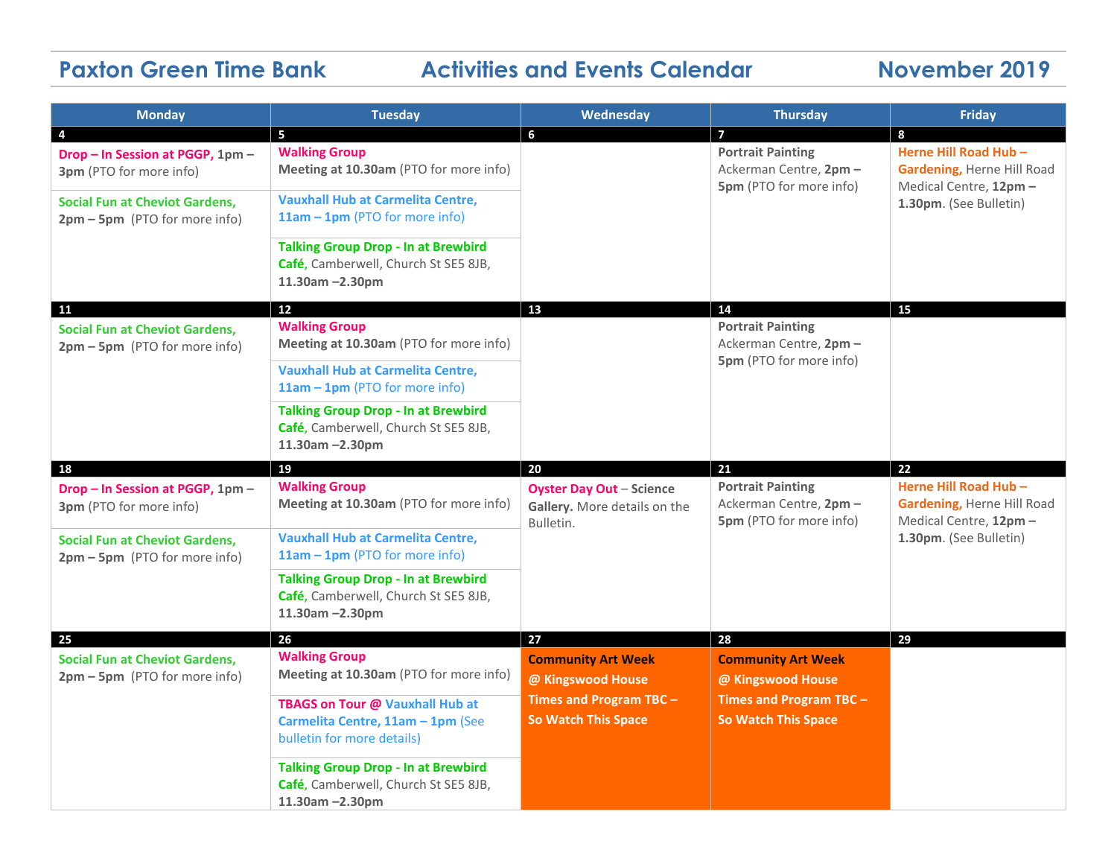# **Paxton Green Time Bank Activities and Events Calendar November 2019**

| <b>Monday</b>                                                            | <b>Tuesday</b>                                                                                              | Wednesday                                                                                               | <b>Thursday</b>                                                                                         | <b>Friday</b>                                                                                           |
|--------------------------------------------------------------------------|-------------------------------------------------------------------------------------------------------------|---------------------------------------------------------------------------------------------------------|---------------------------------------------------------------------------------------------------------|---------------------------------------------------------------------------------------------------------|
| $\overline{4}$                                                           | 5                                                                                                           | 6                                                                                                       | 7                                                                                                       | 8                                                                                                       |
| Drop - In Session at PGGP, 1pm -<br>3pm (PTO for more info)              | <b>Walking Group</b><br>Meeting at 10.30am (PTO for more info)                                              |                                                                                                         | <b>Portrait Painting</b><br>Ackerman Centre, 2pm -<br><b>5pm</b> (PTO for more info)                    | Herne Hill Road Hub -<br>Gardening, Herne Hill Road<br>Medical Centre, 12pm -                           |
| <b>Social Fun at Cheviot Gardens,</b><br>2pm - 5pm (PTO for more info)   | <b>Vauxhall Hub at Carmelita Centre,</b><br>11am - 1pm (PTO for more info)                                  |                                                                                                         |                                                                                                         | 1.30pm. (See Bulletin)                                                                                  |
|                                                                          | <b>Talking Group Drop - In at Brewbird</b><br>Café, Camberwell, Church St SE5 8JB,<br>11.30am -2.30pm       |                                                                                                         |                                                                                                         |                                                                                                         |
| <b>11</b>                                                                | 12                                                                                                          | 13                                                                                                      | 14                                                                                                      | 15                                                                                                      |
| <b>Social Fun at Cheviot Gardens,</b><br>2pm - 5pm (PTO for more info)   | <b>Walking Group</b><br>Meeting at 10.30am (PTO for more info)                                              |                                                                                                         | <b>Portrait Painting</b><br>Ackerman Centre, 2pm -<br>5pm (PTO for more info)                           |                                                                                                         |
|                                                                          | <b>Vauxhall Hub at Carmelita Centre,</b><br>$11am - 1pm$ (PTO for more info)                                |                                                                                                         |                                                                                                         |                                                                                                         |
|                                                                          | <b>Talking Group Drop - In at Brewbird</b><br>Café, Camberwell, Church St SE5 8JB,<br>11.30am -2.30pm       |                                                                                                         |                                                                                                         |                                                                                                         |
| 18                                                                       | 19                                                                                                          | 20                                                                                                      | 21                                                                                                      | 22                                                                                                      |
| Drop - In Session at PGGP, 1pm -<br>3pm (PTO for more info)              | <b>Walking Group</b><br>Meeting at 10.30am (PTO for more info)                                              | <b>Oyster Day Out - Science</b><br>Gallery. More details on the<br>Bulletin.                            | <b>Portrait Painting</b><br>Ackerman Centre, 2pm -<br>5pm (PTO for more info)                           | Herne Hill Road Hub -<br>Gardening, Herne Hill Road<br>Medical Centre, 12pm -<br>1.30pm. (See Bulletin) |
| <b>Social Fun at Cheviot Gardens,</b><br>2pm - 5pm (PTO for more info)   | <b>Vauxhall Hub at Carmelita Centre,</b><br>11am - 1pm (PTO for more info)                                  |                                                                                                         |                                                                                                         |                                                                                                         |
|                                                                          | <b>Talking Group Drop - In at Brewbird</b><br>Café, Camberwell, Church St SE5 8JB,<br>11.30am -2.30pm       |                                                                                                         |                                                                                                         |                                                                                                         |
| 25                                                                       | 26                                                                                                          | 27                                                                                                      | 28                                                                                                      | 29                                                                                                      |
| <b>Social Fun at Cheviot Gardens,</b><br>$2pm - 5pm$ (PTO for more info) | <b>Walking Group</b><br>Meeting at 10.30am (PTO for more info)                                              | <b>Community Art Week</b><br>@ Kingswood House<br>Times and Program TBC -<br><b>So Watch This Space</b> | <b>Community Art Week</b><br>@ Kingswood House<br>Times and Program TBC -<br><b>So Watch This Space</b> |                                                                                                         |
|                                                                          | TBAGS on Tour @ Vauxhall Hub at<br>Carmelita Centre, 11am - 1pm (See<br>bulletin for more details)          |                                                                                                         |                                                                                                         |                                                                                                         |
|                                                                          |                                                                                                             |                                                                                                         |                                                                                                         |                                                                                                         |
|                                                                          | <b>Talking Group Drop - In at Brewbird</b><br>Café, Camberwell, Church St SE5 8JB,<br>$11.30$ am $-2.30$ pm |                                                                                                         |                                                                                                         |                                                                                                         |